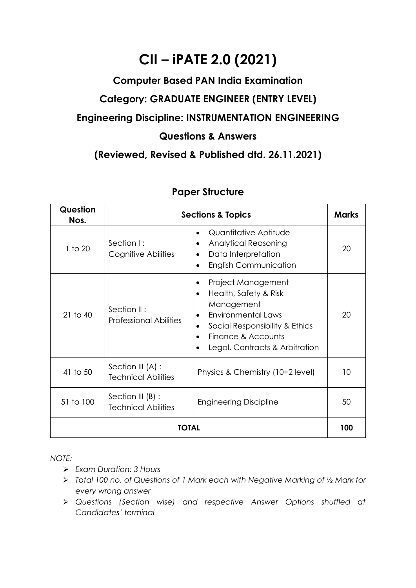# **CII – iPATE 2.0 (2021)**

#### **Computer Based PAN India Examination**

## **Category: GRADUATE ENGINEER (ENTRY LEVEL)**

#### **Engineering Discipline: INSTRUMENTATION ENGINEERING**

#### **Questions & Answers**

### **(Reviewed, Revised & Published dtd. 26.11.2021)**

| Question<br>Nos. |                                                 | <b>Sections &amp; Topics</b>                                                                                                                                                        |    |  |  |
|------------------|-------------------------------------------------|-------------------------------------------------------------------------------------------------------------------------------------------------------------------------------------|----|--|--|
| 1 to 20          | Section I:<br>Cognitive Abilities               | Quantitative Aptitude<br><b>Analytical Reasoning</b><br>٠<br>Data Interpretation<br><b>English Communication</b>                                                                    | 20 |  |  |
| $21$ to $40$     | Section II:<br><b>Professional Abilities</b>    | Project Management<br>Health, Safety & Risk<br>٠<br>Management<br>Environmental Laws<br>Social Responsibility & Ethics<br>٠<br>Finance & Accounts<br>Legal, Contracts & Arbitration | 20 |  |  |
| 41 to 50         | Section III (A) :<br><b>Technical Abilities</b> | Physics & Chemistry (10+2 level)                                                                                                                                                    | 10 |  |  |
| 51 to 100        | Section III (B) :<br><b>Technical Abilities</b> | <b>Engineering Discipline</b>                                                                                                                                                       | 50 |  |  |
| TOTAL            |                                                 |                                                                                                                                                                                     |    |  |  |

### **Paper Structure**

*NOTE:*

- ➢ *Exam Duration: 3 Hours*
- ➢ *Total 100 no. of Questions of 1 Mark each with Negative Marking of ½ Mark for every wrong answer*
- ➢ *Questions (Section wise) and respective Answer Options shuffled at Candidates' terminal*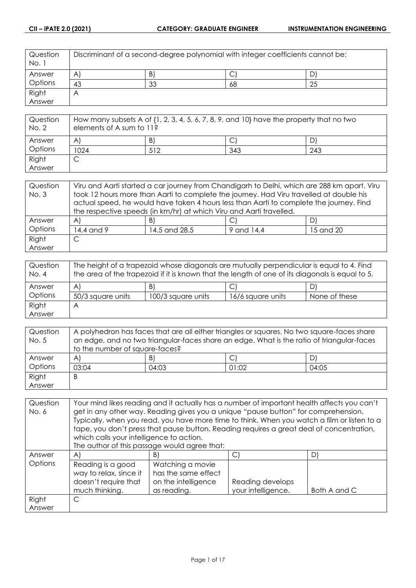| Question<br>No. 1 | Discriminant of a second-degree polynomial with integer coefficients cannot be: |    |    |     |
|-------------------|---------------------------------------------------------------------------------|----|----|-----|
| Answer            | A                                                                               | B) | ◡  | D   |
| Options           | 43                                                                              | 33 | 68 | -25 |
| Right             | Α                                                                               |    |    |     |
| Answer            |                                                                                 |    |    |     |

| Question<br>No. 2 | How many subsets A of $\{1, 2, 3, 4, 5, 6, 7, 8, 9,$ and $10\}$ have the property that no two<br>elements of A sum to 11? |     |     |     |
|-------------------|---------------------------------------------------------------------------------------------------------------------------|-----|-----|-----|
| Answer            | A                                                                                                                         | B)  |     |     |
| Options           | 1024                                                                                                                      | 512 | 343 | 243 |
| Right             | ◡                                                                                                                         |     |     |     |
| Answer            |                                                                                                                           |     |     |     |

| Question | Viru and Aarti started a car journey from Chandigarh to Delhi, which are 288 km apart. Viru |                                                                                         |            |           |
|----------|---------------------------------------------------------------------------------------------|-----------------------------------------------------------------------------------------|------------|-----------|
| No. 3    | took 12 hours more than Aarti to complete the journey. Had Viru travelled at double his     |                                                                                         |            |           |
|          |                                                                                             | actual speed, he would have taken 4 hours less than Aarti to complete the journey. Find |            |           |
|          | the respective speeds (in km/hr) at which Viru and Aarti travelled.                         |                                                                                         |            |           |
| Answer   | $\mathsf{A}$                                                                                | B)                                                                                      |            | D         |
| Options  | 14.4 and 9                                                                                  | 14.5 and 28.5                                                                           | 9 and 14.4 | 15 and 20 |
| Right    | С                                                                                           |                                                                                         |            |           |
| Answer   |                                                                                             |                                                                                         |            |           |

| Question<br>No. 4 | The height of a trapezoid whose diagonals are mutually perpendicular is equal to 4. Find<br>the area of the trapezoid if it is known that the length of one of its diagonals is equal to 5. |                    |                   |               |
|-------------------|---------------------------------------------------------------------------------------------------------------------------------------------------------------------------------------------|--------------------|-------------------|---------------|
| Answer            | A                                                                                                                                                                                           | B)                 | ◡                 | D)            |
| Options           | 50/3 square units                                                                                                                                                                           | 100/3 square units | 16/6 square units | None of these |
| Right             | А                                                                                                                                                                                           |                    |                   |               |
| Answer            |                                                                                                                                                                                             |                    |                   |               |

| Question | A polyhedron has faces that are all either triangles or squares. No two square-faces share |       |       |       |
|----------|--------------------------------------------------------------------------------------------|-------|-------|-------|
| No. 5    | an edge, and no two triangular-faces share an edge. What is the ratio of triangular-faces  |       |       |       |
|          | to the number of square-faces?                                                             |       |       |       |
| Answer   | $\mathsf{A}$                                                                               | B)    |       | D)    |
| Options  | 03:04                                                                                      | 04:03 | 01:02 | 04:05 |
| Right    | B                                                                                          |       |       |       |
| Answer   |                                                                                            |       |       |       |

| Question | Your mind likes reading and it actually has a number of important health affects you can't |                                                                                             |                  |    |  |
|----------|--------------------------------------------------------------------------------------------|---------------------------------------------------------------------------------------------|------------------|----|--|
| No. 6    |                                                                                            | get in any other way. Reading gives you a unique "pause button" for comprehension.          |                  |    |  |
|          |                                                                                            | Typically, when you read, you have more time to think. When you watch a film or listen to a |                  |    |  |
|          |                                                                                            | tape, you don't press that pause button. Reading requires a great deal of concentration,    |                  |    |  |
|          | which calls your intelligence to action.                                                   |                                                                                             |                  |    |  |
|          | The author of this passage would agree that:                                               |                                                                                             |                  |    |  |
| Answer   | $\mathsf{A}$                                                                               | B)                                                                                          | C)               | D) |  |
| Options  | Reading is a good                                                                          | Watching a movie                                                                            |                  |    |  |
|          | way to relax, since it                                                                     | has the same effect                                                                         |                  |    |  |
|          | doesn't require that                                                                       | on the intelligence                                                                         | Reading develops |    |  |
|          | your intelligence.<br>much thinking.<br>as reading.<br>Both A and C                        |                                                                                             |                  |    |  |
| Right    | C                                                                                          |                                                                                             |                  |    |  |
| Answer   |                                                                                            |                                                                                             |                  |    |  |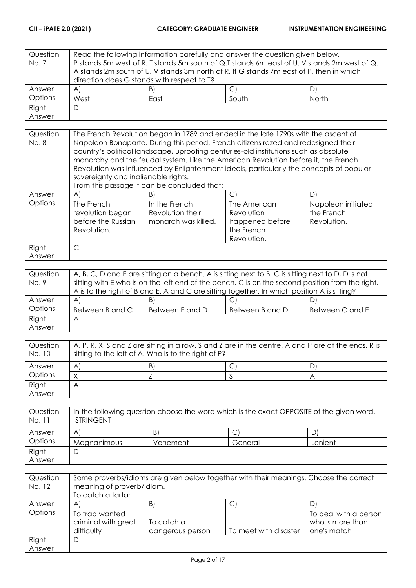| Question | Read the following information carefully and answer the question given below.           |    |                                                                                             |    |
|----------|-----------------------------------------------------------------------------------------|----|---------------------------------------------------------------------------------------------|----|
| No. 7    |                                                                                         |    | P stands 5m west of R. T stands 5m south of Q.T stands 6m east of U. V stands 2m west of Q. |    |
|          | A stands 2m south of U. V stands 3m north of R. If G stands 7m east of P, then in which |    |                                                                                             |    |
|          | direction does G stands with respect to T?                                              |    |                                                                                             |    |
| Answer   | $\forall$                                                                               | B) |                                                                                             | DI |
| Options  | West<br>South<br>North<br>East                                                          |    |                                                                                             |    |
| Right    | D                                                                                       |    |                                                                                             |    |
| Answer   |                                                                                         |    |                                                                                             |    |

| Question | The French Revolution began in 1789 and ended in the late 1790s with the ascent of                                                                                         |                                                                                         |                                                                            |                                                 |
|----------|----------------------------------------------------------------------------------------------------------------------------------------------------------------------------|-----------------------------------------------------------------------------------------|----------------------------------------------------------------------------|-------------------------------------------------|
| No. 8    | Napoleon Bonaparte. During this period, French citizens razed and redesigned their<br>country's political landscape, uprooting centuries-old institutions such as absolute |                                                                                         |                                                                            |                                                 |
|          |                                                                                                                                                                            | monarchy and the feudal system. Like the American Revolution before it, the French      |                                                                            |                                                 |
|          |                                                                                                                                                                            | Revolution was influenced by Enlightenment ideals, particularly the concepts of popular |                                                                            |                                                 |
|          | sovereignty and inalienable rights.                                                                                                                                        |                                                                                         |                                                                            |                                                 |
|          |                                                                                                                                                                            | From this passage it can be concluded that:                                             |                                                                            |                                                 |
| Answer   | $\mathsf{A}$                                                                                                                                                               | B)                                                                                      | C                                                                          | D                                               |
| Options  | The French<br>revolution began<br>before the Russian<br>Revolution.                                                                                                        | In the French<br>Revolution their<br>monarch was killed.                                | The American<br>Revolution<br>happened before<br>the French<br>Revolution. | Napoleon initiated<br>the French<br>Revolution. |
| Right    | C                                                                                                                                                                          |                                                                                         |                                                                            |                                                 |
| Answer   |                                                                                                                                                                            |                                                                                         |                                                                            |                                                 |

| Question | A, B, C, D and E are sitting on a bench. A is sitting next to B, C is sitting next to D, D is not |                 |                 |                 |
|----------|---------------------------------------------------------------------------------------------------|-----------------|-----------------|-----------------|
| No. 9    | sitting with E who is on the left end of the bench. C is on the second position from the right.   |                 |                 |                 |
|          | A is to the right of B and E. A and C are sitting together. In which position A is sitting?       |                 |                 |                 |
| Answer   | $\forall$                                                                                         | B)              | ◡               | D)              |
| Options  | Between B and C                                                                                   | Between E and D | Between B and D | Between C and E |
| Right    | A                                                                                                 |                 |                 |                 |
| Answer   |                                                                                                   |                 |                 |                 |

| Question<br>No. 10 | A, P, R, X, S and Z are sitting in a row. S and Z are in the centre. A and P are at the ends. R is<br>sitting to the left of A. Who is to the right of P? |    |  |   |
|--------------------|-----------------------------------------------------------------------------------------------------------------------------------------------------------|----|--|---|
| Answer             | A                                                                                                                                                         | B) |  | D |
| Options            |                                                                                                                                                           |    |  |   |
| Right              | $\forall$                                                                                                                                                 |    |  |   |
| Answer             |                                                                                                                                                           |    |  |   |

| Question<br>No. 11 | In the following question choose the word which is the exact OPPOSITE of the given word.<br><b>STRINGENT</b> |          |         |         |
|--------------------|--------------------------------------------------------------------------------------------------------------|----------|---------|---------|
| Answer             | A                                                                                                            | B)       |         |         |
| Options            | Magnanimous                                                                                                  | Vehement | General | Lenient |
| Right              |                                                                                                              |          |         |         |
| Answer             |                                                                                                              |          |         |         |

| Question<br>No. 12 | Some proverbs/idioms are given below together with their meanings. Choose the correct<br>meaning of proverb/idiom.<br>To catch a tartar |                                |                       |                                                          |
|--------------------|-----------------------------------------------------------------------------------------------------------------------------------------|--------------------------------|-----------------------|----------------------------------------------------------|
| Answer             | A                                                                                                                                       | B)                             | ◡                     |                                                          |
| Options            | To trap wanted<br>criminal with great<br>difficulty                                                                                     | To catch a<br>dangerous person | To meet with disaster | To deal with a person<br>who is more than<br>one's match |
| Right              | D                                                                                                                                       |                                |                       |                                                          |
| Answer             |                                                                                                                                         |                                |                       |                                                          |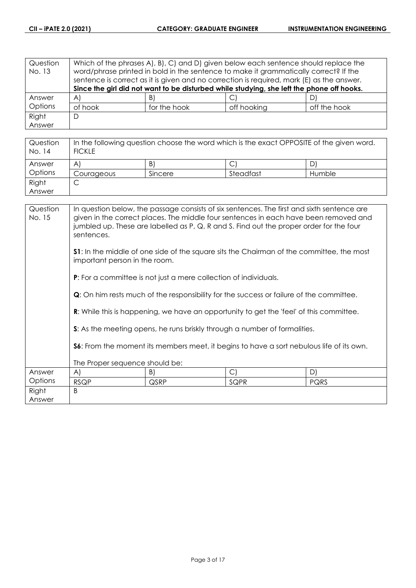| Question | Which of the phrases A), B), C) and D) given below each sentence should replace the |              |                                                                                           |              |
|----------|-------------------------------------------------------------------------------------|--------------|-------------------------------------------------------------------------------------------|--------------|
| No. 13   |                                                                                     |              | word/phrase printed in bold in the sentence to make it grammatically correct? If the      |              |
|          |                                                                                     |              | sentence is correct as it is given and no correction is required, mark (E) as the answer. |              |
|          |                                                                                     |              | Since the girl did not want to be disturbed while studying, she left the phone off hooks. |              |
| Answer   | A)                                                                                  | B)           |                                                                                           | D)           |
| Options  | of hook                                                                             | for the hook | off hooking                                                                               | off the hook |
| Right    | D                                                                                   |              |                                                                                           |              |
| Answer   |                                                                                     |              |                                                                                           |              |

| Question<br>No. 14 | In the following question choose the word which is the exact OPPOSITE of the given word.<br><b>FICKLE</b> |         |           |        |
|--------------------|-----------------------------------------------------------------------------------------------------------|---------|-----------|--------|
| Answer             | A                                                                                                         | B)      |           | D.     |
| Options            | Courageous                                                                                                | Sincere | Steadfast | Humble |
| Right              |                                                                                                           |         |           |        |
| Answer             |                                                                                                           |         |           |        |

| Question<br>No. 15 | In question below, the passage consists of six sentences. The first and sixth sentence are<br>given in the correct places. The middle four sentences in each have been removed and<br>jumbled up. These are labelled as P, Q, R and S. Find out the proper order for the four<br>sentences. |      |                                                                                                 |             |  |
|--------------------|---------------------------------------------------------------------------------------------------------------------------------------------------------------------------------------------------------------------------------------------------------------------------------------------|------|-------------------------------------------------------------------------------------------------|-------------|--|
|                    | <b>S1:</b> In the middle of one side of the square sits the Chairman of the committee, the most<br>important person in the room.                                                                                                                                                            |      |                                                                                                 |             |  |
|                    | <b>P:</b> For a committee is not just a mere collection of individuals.                                                                                                                                                                                                                     |      |                                                                                                 |             |  |
|                    |                                                                                                                                                                                                                                                                                             |      | <b>Q</b> : On him rests much of the responsibility for the success or failure of the committee. |             |  |
|                    | <b>R:</b> While this is happening, we have an opportunity to get the 'feel' of this committee.                                                                                                                                                                                              |      |                                                                                                 |             |  |
|                    |                                                                                                                                                                                                                                                                                             |      | S: As the meeting opens, he runs briskly through a number of formalities.                       |             |  |
|                    | <b>S6:</b> From the moment its members meet, it begins to have a sort nebulous life of its own.                                                                                                                                                                                             |      |                                                                                                 |             |  |
|                    | The Proper sequence should be:                                                                                                                                                                                                                                                              |      |                                                                                                 |             |  |
| Answer             | A)                                                                                                                                                                                                                                                                                          | B)   | $\mathcal{C}$                                                                                   | D)          |  |
| Options            | <b>RSQP</b>                                                                                                                                                                                                                                                                                 | QSRP | SQPR                                                                                            | <b>PQRS</b> |  |
| Right              | <sub>B</sub>                                                                                                                                                                                                                                                                                |      |                                                                                                 |             |  |
| Answer             |                                                                                                                                                                                                                                                                                             |      |                                                                                                 |             |  |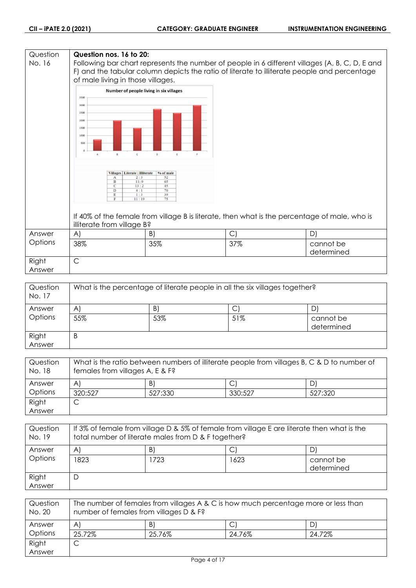#### **Question Question nos. 16 to 20:** No. 16 Following bar chart represents the number of people in 6 different villages (A, B, C, D, E and F) and the tabular column depicts the ratio of literate to illiterate people and percentage of male living in those villages. Number of people living in six villages 3500 3000 2500 2000 1500  $1000$ 50 Villages | Literate : Illiterate | % of male Ť  $\frac{1}{13}$  $\overline{11}$ If 40% of the female from village B is literate, then what is the percentage of male, who is illiterate from village B? Answer A)  $|B|$   $|C|$   $|D|$ **Options** 38% 35% 37% cannot be determined Right C Answer

| Question<br>No. 17 | What is the percentage of literate people in all the six villages together? |     |     |                         |
|--------------------|-----------------------------------------------------------------------------|-----|-----|-------------------------|
| Answer             | A                                                                           | B)  | С   |                         |
| Options            | 55%                                                                         | 53% | 51% | cannot be<br>determined |
| Right<br>Answer    | B                                                                           |     |     |                         |

| Question<br>No. 18 | What is the ratio between numbers of illiterate people from villages B, C & D to number of<br>females from villages A, E & F? |         |         |         |
|--------------------|-------------------------------------------------------------------------------------------------------------------------------|---------|---------|---------|
| Answer             | $\mathsf{A}$                                                                                                                  | B)      |         | D,      |
| Options            | 320:527                                                                                                                       | 527:330 | 330:527 | 527:320 |
| Right              |                                                                                                                               |         |         |         |
| Answer             |                                                                                                                               |         |         |         |

| Question<br>No. 19 | If 3% of female from village D & 5% of female from village E are literate then what is the<br>total number of literate males from D & F together? |     |      |                         |
|--------------------|---------------------------------------------------------------------------------------------------------------------------------------------------|-----|------|-------------------------|
| Answer             | A                                                                                                                                                 | B)  |      | D,                      |
| Options            | 1823                                                                                                                                              | 723 | 1623 | cannot be<br>determined |
| Right<br>Answer    | D                                                                                                                                                 |     |      |                         |

| Question<br>No. 20 | The number of females from villages A & C is how much percentage more or less than<br>number of females from villages D & F? |        |        |        |
|--------------------|------------------------------------------------------------------------------------------------------------------------------|--------|--------|--------|
| Answer             | A                                                                                                                            | B.     |        |        |
| Options            | 25.72%                                                                                                                       | 25.76% | 24.76% | 24.72% |
| Right              | ◡                                                                                                                            |        |        |        |
| Answer             |                                                                                                                              |        |        |        |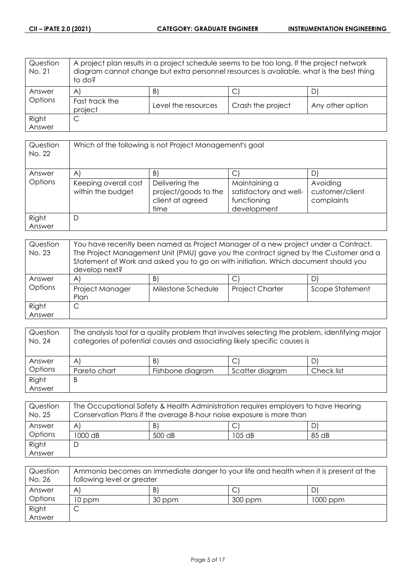| Question<br>No. 21 | A project plan results in a project schedule seems to be too long. If the project network<br>diagram cannot change but extra personnel resources is available, what is the best thing<br>to do? |                     |                   |                  |
|--------------------|-------------------------------------------------------------------------------------------------------------------------------------------------------------------------------------------------|---------------------|-------------------|------------------|
| Answer             | $\mathsf{A}$                                                                                                                                                                                    | B)                  | С                 |                  |
| Options            | Fast track the<br>project                                                                                                                                                                       | Level the resources | Crash the project | Any other option |
| Right              | С                                                                                                                                                                                               |                     |                   |                  |
| Answer             |                                                                                                                                                                                                 |                     |                   |                  |

| Question<br>No. 22 | Which of the following is not Project Management's goal |                                                                    |                                                                       |                                           |
|--------------------|---------------------------------------------------------|--------------------------------------------------------------------|-----------------------------------------------------------------------|-------------------------------------------|
| Answer             | A                                                       | B)                                                                 | C                                                                     | D                                         |
| Options            | Keeping overall cost<br>within the budget               | Delivering the<br>project/goods to the<br>client at agreed<br>time | Maintaining a<br>satisfactory and well-<br>functioning<br>development | Avoiding<br>customer/client<br>complaints |
| Right<br>Answer    | D                                                       |                                                                    |                                                                       |                                           |

| Question<br>No. 23 | You have recently been named as Project Manager of a new project under a Contract.<br>The Project Management Unit (PMU) gave you the contract signed by the Customer and a<br>Statement of Work and asked you to go on with initiation. Which document should you<br>develop next? |                    |                        |                 |
|--------------------|------------------------------------------------------------------------------------------------------------------------------------------------------------------------------------------------------------------------------------------------------------------------------------|--------------------|------------------------|-----------------|
| Answer             | A                                                                                                                                                                                                                                                                                  | B)                 |                        |                 |
| Options            | Project Manager<br>Plan                                                                                                                                                                                                                                                            | Milestone Schedule | <b>Project Charter</b> | Scope Statement |
| Right              |                                                                                                                                                                                                                                                                                    |                    |                        |                 |
| Answer             |                                                                                                                                                                                                                                                                                    |                    |                        |                 |

| Question<br>No. 24 | The analysis tool for a quality problem that involves selecting the problem, identifying major<br>categories of potential causes and associating likely specific causes is |                  |                 |            |
|--------------------|----------------------------------------------------------------------------------------------------------------------------------------------------------------------------|------------------|-----------------|------------|
| Answer             | $\mathsf{A}$                                                                                                                                                               | B)               |                 |            |
| Options            | Pareto chart                                                                                                                                                               | Fishbone diagram | Scatter diagram | Check list |
| Right              | B                                                                                                                                                                          |                  |                 |            |
| Answer             |                                                                                                                                                                            |                  |                 |            |

| Question<br>No. 25 | The Occupational Safety & Health Administration requires employers to have Hearing<br>Conservation Plans if the average 8-hour noise exposure is more than |        |        |       |
|--------------------|------------------------------------------------------------------------------------------------------------------------------------------------------------|--------|--------|-------|
| Answer             | A                                                                                                                                                          | B)     |        |       |
| Options            | 1000 dB                                                                                                                                                    | 500 dB | 105 dB | 85 dB |
| Right              |                                                                                                                                                            |        |        |       |
| Answer             |                                                                                                                                                            |        |        |       |

| Question<br>No. 26 | Ammonia becomes an immediate danger to your life and health when it is present at the<br>following level or greater |        |         |          |
|--------------------|---------------------------------------------------------------------------------------------------------------------|--------|---------|----------|
| Answer             | A                                                                                                                   | B      |         |          |
| Options            | 10 ppm                                                                                                              | 30 ppm | 300 ppm | 1000 ppm |
| Right              |                                                                                                                     |        |         |          |
| Answer             |                                                                                                                     |        |         |          |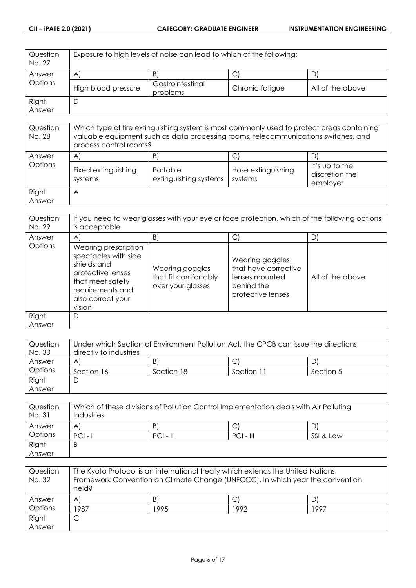| Question<br>No. 27 | Exposure to high levels of noise can lead to which of the following: |                              |                 |                  |
|--------------------|----------------------------------------------------------------------|------------------------------|-----------------|------------------|
| Answer             | $\mathsf{A}$                                                         | $\vert B \vert$              | ◡               |                  |
| <b>Options</b>     | High blood pressure                                                  | Gastrointestinal<br>problems | Chronic fatigue | All of the above |
| Right              | D                                                                    |                              |                 |                  |
| Answer             |                                                                      |                              |                 |                  |

| Question<br>No. 28 | Which type of fire extinguishing system is most commonly used to protect areas containing<br>valuable equipment such as data processing rooms, telecommunications switches, and<br>process control rooms? |                                         |                               |                                              |
|--------------------|-----------------------------------------------------------------------------------------------------------------------------------------------------------------------------------------------------------|-----------------------------------------|-------------------------------|----------------------------------------------|
| Answer<br>Options  | A<br>Fixed extinguishing<br>systems                                                                                                                                                                       | B)<br>Portable<br>extinguishing systems | Hose extinguishing<br>systems | It's up to the<br>discretion the<br>employer |
| Right<br>Answer    | $\forall$                                                                                                                                                                                                 |                                         |                               |                                              |

| Question<br>No. 29 | If you need to wear glasses with your eye or face protection, which of the following options<br>is acceptable                                           |                                                              |                                                                                              |                  |
|--------------------|---------------------------------------------------------------------------------------------------------------------------------------------------------|--------------------------------------------------------------|----------------------------------------------------------------------------------------------|------------------|
| Answer             | $\mathsf{A}$                                                                                                                                            | B)                                                           | С                                                                                            | D                |
| Options            | Wearing prescription<br>spectacles with side<br>shields and<br>protective lenses<br>that meet safety<br>requirements and<br>also correct your<br>vision | Wearing goggles<br>that fit comfortably<br>over your glasses | Wearing goggles<br>that have corrective<br>lenses mounted<br>behind the<br>protective lenses | All of the above |
| Right<br>Answer    | D                                                                                                                                                       |                                                              |                                                                                              |                  |

| Question | Under which Section of Environment Pollution Act, the CPCB can issue the directions |            |            |           |
|----------|-------------------------------------------------------------------------------------|------------|------------|-----------|
| No. 30   | directly to industries                                                              |            |            |           |
| Answer   | A                                                                                   | B)         |            | DI        |
| Options  | Section 16                                                                          | Section 18 | Section 11 | Section 5 |
| Right    | C                                                                                   |            |            |           |
| Answer   |                                                                                     |            |            |           |

| Question<br>No. 31 | Which of these divisions of Pollution Control Implementation deals with Air Polluting<br>Industries |            |             |           |
|--------------------|-----------------------------------------------------------------------------------------------------|------------|-------------|-----------|
| Answer             | A                                                                                                   | B)         | C           |           |
| Options            | $PCI -$                                                                                             | $PCI - II$ | $PCI - III$ | SSI & Law |
| Right              | B                                                                                                   |            |             |           |
| Answer             |                                                                                                     |            |             |           |

| Question<br>No. 32 | The Kyoto Protocol is an international treaty which extends the United Nations<br>Framework Convention on Climate Change (UNFCCC). In which year the convention<br>held? |      |      |      |
|--------------------|--------------------------------------------------------------------------------------------------------------------------------------------------------------------------|------|------|------|
| Answer             | $\mathsf{A}^{\mathsf{c}}$                                                                                                                                                | B)   |      |      |
| Options            | 1987                                                                                                                                                                     | 1995 | 1992 | 1997 |
| Right              | C                                                                                                                                                                        |      |      |      |
| Answer             |                                                                                                                                                                          |      |      |      |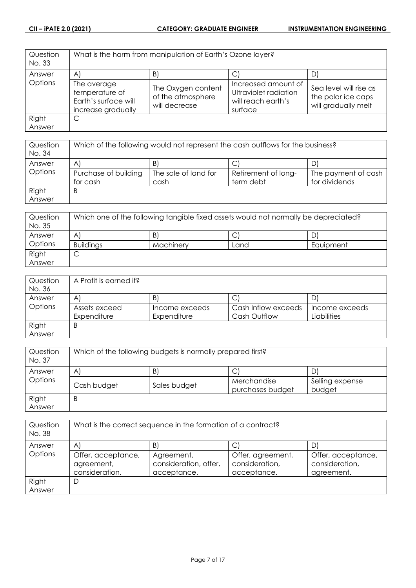| Question<br>No. 33 |                                                                             | What is the harm from manipulation of Earth's Ozone layer? |                                                                               |                                                                     |
|--------------------|-----------------------------------------------------------------------------|------------------------------------------------------------|-------------------------------------------------------------------------------|---------------------------------------------------------------------|
| Answer             | $\mathsf{A}$                                                                | B)                                                         |                                                                               |                                                                     |
| Options            | The average<br>temperature of<br>Earth's surface will<br>increase gradually | The Oxygen content<br>of the atmosphere<br>will decrease   | Increased amount of<br>Ultraviolet radiation<br>will reach earth's<br>surface | Sea level will rise as<br>the polar ice caps<br>will gradually melt |
| Right              | С                                                                           |                                                            |                                                                               |                                                                     |
| Answer             |                                                                             |                                                            |                                                                               |                                                                     |

| Question<br>No. 34 | Which of the following would not represent the cash outflows for the business? |                      |                     |                     |
|--------------------|--------------------------------------------------------------------------------|----------------------|---------------------|---------------------|
| Answer             | A                                                                              | B.                   | ◡                   |                     |
| Options            | Purchase of building                                                           | The sale of land for | Retirement of long- | The payment of cash |
|                    | for cash                                                                       | cash                 | term debt           | for dividends       |
| Right              | B                                                                              |                      |                     |                     |
| Answer             |                                                                                |                      |                     |                     |

| Question<br>No. 35 | Which one of the following tangible fixed assets would not normally be depreciated? |           |      |           |
|--------------------|-------------------------------------------------------------------------------------|-----------|------|-----------|
| Answer             | A                                                                                   | B         | ◡    | D'        |
| Options            | <b>Buildings</b>                                                                    | Machinery | Land | Equipment |
| Right              | ◡                                                                                   |           |      |           |
| Answer             |                                                                                     |           |      |           |

| Question | A Profit is earned if? |                |                     |                |
|----------|------------------------|----------------|---------------------|----------------|
| No. 36   |                        |                |                     |                |
| Answer   | A                      | $\mathsf{B}$   | С                   | D              |
| Options  | Assets exceed          | Income exceeds | Cash Inflow exceeds | Income exceeds |
|          | Expenditure            | Expenditure    | Cash Outflow        | Liabilities    |
| Right    | B                      |                |                     |                |
| Answer   |                        |                |                     |                |

| Question<br>No. 37 | Which of the following budgets is normally prepared first? |              |                                 |                           |
|--------------------|------------------------------------------------------------|--------------|---------------------------------|---------------------------|
| Answer             | A                                                          | B            |                                 |                           |
| Options            | Cash budget                                                | Sales budget | Merchandise<br>purchases budget | Selling expense<br>budget |
| Right<br>Answer    | B                                                          |              |                                 |                           |

| Question<br>No. 38 | What is the correct sequence in the formation of a contract? |                                                    |                                                    |                                                    |
|--------------------|--------------------------------------------------------------|----------------------------------------------------|----------------------------------------------------|----------------------------------------------------|
| Answer             | $\mathsf{A}$                                                 | B)                                                 |                                                    | D                                                  |
| Options            | Offer, acceptance,<br>agreement,<br>consideration.           | Agreement,<br>consideration, offer,<br>acceptance. | Offer, agreement,<br>consideration,<br>acceptance. | Offer, acceptance,<br>consideration,<br>agreement. |
| Right              | D                                                            |                                                    |                                                    |                                                    |
| Answer             |                                                              |                                                    |                                                    |                                                    |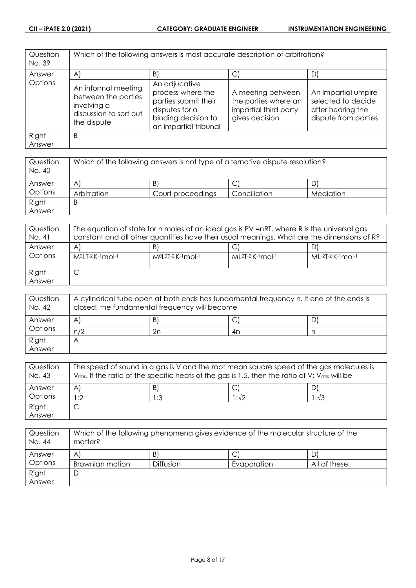| Question<br>No. 39 | Which of the following answers is most accurate description of arbitration?                        |                                                                                                                              |                                                                                      |                                                                                        |
|--------------------|----------------------------------------------------------------------------------------------------|------------------------------------------------------------------------------------------------------------------------------|--------------------------------------------------------------------------------------|----------------------------------------------------------------------------------------|
| Answer             | $\mathsf{A}$                                                                                       | B)                                                                                                                           | $\mathsf{C}$                                                                         | D)                                                                                     |
| Options            | An informal meeting<br>between the parties<br>involving a<br>discussion to sort out<br>the dispute | An adjucative<br>process where the<br>parties submit their<br>disputes for a<br>binding decision to<br>an impartial tribunal | A meeting between<br>the parties where an<br>impartial third party<br>gives decision | An impartial umpire<br>selected to decide<br>after hearing the<br>dispute from parties |
| Right<br>Answer    | B                                                                                                  |                                                                                                                              |                                                                                      |                                                                                        |

| Question<br>No. 40 | Which of the following answers is not type of alternative dispute resolution? |                   |              |           |
|--------------------|-------------------------------------------------------------------------------|-------------------|--------------|-----------|
| Answer             | $\mathsf{A}^{\prime}$                                                         | B)                | ◡            |           |
| Options            | Arbitration                                                                   | Court proceedings | Conciliation | Mediation |
| Right              | B                                                                             |                   |              |           |
| Answer             |                                                                               |                   |              |           |

| Question        | The equation of state for n moles of an ideal gas is PV =nRT, where R is the universal gas |                                  |                             |                   |
|-----------------|--------------------------------------------------------------------------------------------|----------------------------------|-----------------------------|-------------------|
| No. 41          | constant and all other quantities have their usual meanings. What are the dimensions of R? |                                  |                             |                   |
| Answer          | $\mathsf{A}$                                                                               | B)                               | $ML^{2}T-2$ K $-1$ mol $-1$ | D                 |
| Options         | M <sup>o</sup> LT-2 K-1 mol-1                                                              | $M^{0}L^{2}T^{-2}K^{-1}mol^{-1}$ |                             | ML-2T-2 K-1 mol-1 |
| Right<br>Answer |                                                                                            |                                  |                             |                   |

| Question<br>No. 42 | A cylindrical tube open at both ends has fundamental frequency n. If one of the ends is<br>closed, the fundamental frequency will become |    |    |   |
|--------------------|------------------------------------------------------------------------------------------------------------------------------------------|----|----|---|
| Answer             | A                                                                                                                                        | B) | ◡  | D |
| Options            | n/2                                                                                                                                      | 2n | 4n |   |
| Right              |                                                                                                                                          |    |    |   |
| Answer             |                                                                                                                                          |    |    |   |

| Question<br>No. 43 | The speed of sound in a gas is V and the root mean square speed of the gas molecules is<br>$V_{rms}$ . If the ratio of the specific heats of the gas is 1.5, then the ratio of V: $V_{rms}$ will be |              |       |      |
|--------------------|-----------------------------------------------------------------------------------------------------------------------------------------------------------------------------------------------------|--------------|-------|------|
| Answer             | A                                                                                                                                                                                                   | $\mathsf{B}$ |       |      |
| Options            | :2                                                                                                                                                                                                  | 1:3          | l :√2 | 1:√3 |
| Right              |                                                                                                                                                                                                     |              |       |      |
| Answer             |                                                                                                                                                                                                     |              |       |      |

| Question<br>No. 44 | Which of the following phenomena gives evidence of the molecular structure of the<br>matter? |                  |             |              |
|--------------------|----------------------------------------------------------------------------------------------|------------------|-------------|--------------|
| Answer             | Α                                                                                            | B)               | С           |              |
| Options            | Brownian motion                                                                              | <b>Diffusion</b> | Evaporation | All of these |
| Right              | ◡                                                                                            |                  |             |              |
| Answer             |                                                                                              |                  |             |              |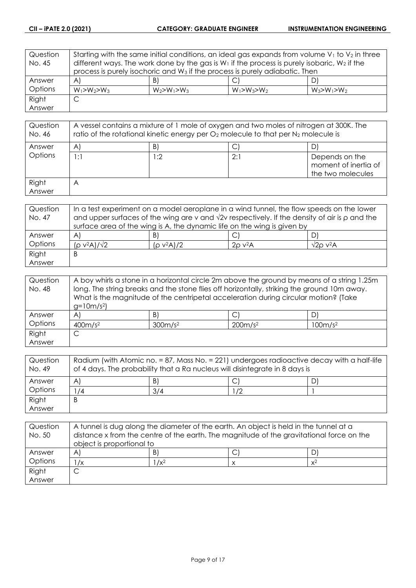| Question | Starting with the same initial conditions, an ideal gas expands from volume $V_1$ to $V_2$ in three |                                                                                                   |                   |                   |
|----------|-----------------------------------------------------------------------------------------------------|---------------------------------------------------------------------------------------------------|-------------------|-------------------|
| No. 45   |                                                                                                     | different ways. The work done by the gas is $W_1$ if the process is purely isobaric, $W_2$ if the |                   |                   |
|          |                                                                                                     | process is purely isochoric and W <sub>3</sub> if the process is purely adiabatic. Then           |                   |                   |
| Answer   | $\mathsf{A}$                                                                                        | B)                                                                                                |                   | DI                |
| Options  | $W_1 > W_2 > W_3$                                                                                   | $W_2 > W_1 > W_3$                                                                                 | $W_1 > W_3 > W_2$ | $W_3 > W_1 > W_2$ |
| Right    | C                                                                                                   |                                                                                                   |                   |                   |
| Answer   |                                                                                                     |                                                                                                   |                   |                   |

| Question<br>No. 46 | A vessel contains a mixture of 1 mole of oxygen and two moles of nitrogen at 300K. The<br>ratio of the rotational kinetic energy per $O_2$ molecule to that per $N_2$ molecule is |     |     |                                                             |
|--------------------|-----------------------------------------------------------------------------------------------------------------------------------------------------------------------------------|-----|-----|-------------------------------------------------------------|
| Answer             | A                                                                                                                                                                                 | B)  |     | D                                                           |
| Options            | 1:1                                                                                                                                                                               | 1:2 | 2:1 | Depends on the<br>moment of inertia of<br>the two molecules |
| Right<br>Answer    | Α                                                                                                                                                                                 |     |     |                                                             |

| Question | In a test experiment on a model aeroplane in a wind tunnel, the flow speeds on the lower                   |               |                          |                             |
|----------|------------------------------------------------------------------------------------------------------------|---------------|--------------------------|-----------------------------|
| No. 47   | and upper surfaces of the wing are v and $\sqrt{2}v$ respectively. If the density of air is $\rho$ and the |               |                          |                             |
|          | surface area of the wing is A, the dynamic life on the wing is given by                                    |               |                          |                             |
| Answer   | A                                                                                                          | B)            |                          |                             |
| Options  | $(p v^2 A)/\sqrt{2}$                                                                                       | $(p v^2 A)/2$ | $2\rho$ v <sup>2</sup> A | $\sqrt{2}$ o v $\sqrt{2}$ A |
| Right    | Β                                                                                                          |               |                          |                             |
| Answer   |                                                                                                            |               |                          |                             |

| Question<br>No. 48 | A boy whirls a stone in a horizontal circle 2m above the ground by means of a string 1.25m<br>long. The string breaks and the stone flies off horizontally, striking the ground 10m away.<br>What is the magnitude of the centripetal acceleration during circular motion? (Take |                     |                     |                     |
|--------------------|----------------------------------------------------------------------------------------------------------------------------------------------------------------------------------------------------------------------------------------------------------------------------------|---------------------|---------------------|---------------------|
|                    | $g=10m/s^2$                                                                                                                                                                                                                                                                      |                     |                     |                     |
| Answer             | $\mathsf{A}$                                                                                                                                                                                                                                                                     | $\vert B \vert$     | $\mathsf{C}^1$      | D                   |
| Options            | 400m/s <sup>2</sup>                                                                                                                                                                                                                                                              | 300m/s <sup>2</sup> | 200m/s <sup>2</sup> | 100m/s <sup>2</sup> |
| Right              | С                                                                                                                                                                                                                                                                                |                     |                     |                     |
| Answer             |                                                                                                                                                                                                                                                                                  |                     |                     |                     |

| Question<br>No. 49 | Radium (with Atomic no. = 87, Mass No. = 221) undergoes radioactive decay with a half-life<br>of 4 days. The probability that a Ra nucleus will disintegrate in 8 days is |     |    |  |
|--------------------|---------------------------------------------------------------------------------------------------------------------------------------------------------------------------|-----|----|--|
| Answer             | A                                                                                                                                                                         | B.  |    |  |
| Options            | /4                                                                                                                                                                        | 3/4 | /2 |  |
| Right              | B                                                                                                                                                                         |     |    |  |
| Answer             |                                                                                                                                                                           |     |    |  |

| Question<br>No. 50 | A tunnel is dug along the diameter of the earth. An object is held in the tunnel at a<br>distance x from the centre of the earth. The magnitude of the gravitational force on the |         |  |       |
|--------------------|-----------------------------------------------------------------------------------------------------------------------------------------------------------------------------------|---------|--|-------|
|                    | object is proportional to                                                                                                                                                         |         |  |       |
| Answer             | $\mathsf{A}$                                                                                                                                                                      | B       |  |       |
| Options            | /х                                                                                                                                                                                | $1/x^2$ |  | $x^2$ |
| Right              |                                                                                                                                                                                   |         |  |       |
| Answer             |                                                                                                                                                                                   |         |  |       |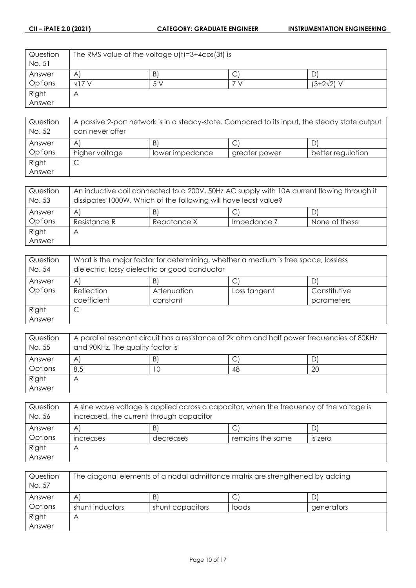| Question | The RMS value of the voltage $u(t) = 3 + 4cos(3t)$ is |     |   |                   |
|----------|-------------------------------------------------------|-----|---|-------------------|
| No. 51   |                                                       |     |   |                   |
| Answer   | $\forall$                                             | Β   | U | D                 |
| Options  | $\sqrt{17}$ V                                         | 5 V |   | $(3+2\sqrt{2})$ V |
| Right    | $\forall$                                             |     |   |                   |
| Answer   |                                                       |     |   |                   |

| Question<br>No. 52 | A passive 2-port network is in a steady-state. Compared to its input, the steady state output<br>can never offer |                 |               |                   |
|--------------------|------------------------------------------------------------------------------------------------------------------|-----------------|---------------|-------------------|
| Answer             | A                                                                                                                | B               | ٮ             | D                 |
| Options            | higher voltage                                                                                                   | lower impedance | greater power | better regulation |
| Right              | ◡                                                                                                                |                 |               |                   |
| Answer             |                                                                                                                  |                 |               |                   |

| Question<br>No. 53 | An inductive coil connected to a 200V, 50Hz AC supply with 10A current flowing through it<br>dissipates 1000W. Which of the following will have least value? |             |             |               |
|--------------------|--------------------------------------------------------------------------------------------------------------------------------------------------------------|-------------|-------------|---------------|
| Answer             | A                                                                                                                                                            | B'          |             |               |
| Options            | Resistance R                                                                                                                                                 | Reactance X | Impedance Z | None of these |
| Right              |                                                                                                                                                              |             |             |               |
| Answer             |                                                                                                                                                              |             |             |               |

| Question<br>No. 54 | What is the major factor for determining, whether a medium is free space, lossless<br>dielectric, lossy dielectric or good conductor |  |  |  |  |
|--------------------|--------------------------------------------------------------------------------------------------------------------------------------|--|--|--|--|
| Answer             | B)<br>A                                                                                                                              |  |  |  |  |
| Options            | Reflection<br>Constitutive<br>Attenuation<br>Loss tangent                                                                            |  |  |  |  |
|                    | coefficient<br>constant<br>parameters                                                                                                |  |  |  |  |
| Right              | ◡                                                                                                                                    |  |  |  |  |
| Answer             |                                                                                                                                      |  |  |  |  |

| Question<br>No. 55 | A parallel resonant circuit has a resistance of 2k ohm and half power frequencies of 80KHz<br>and 90KHz. The quality factor is |    |    |    |
|--------------------|--------------------------------------------------------------------------------------------------------------------------------|----|----|----|
| Answer             | B<br>Α                                                                                                                         |    |    |    |
| Options            | 8.5                                                                                                                            | 10 | 48 | 20 |
| Right              | Α                                                                                                                              |    |    |    |
| Answer             |                                                                                                                                |    |    |    |

| Question<br>No. 56 | A sine wave voltage is applied across a capacitor, when the frequency of the voltage is<br>increased, the current through capacitor |           |                  |                |
|--------------------|-------------------------------------------------------------------------------------------------------------------------------------|-----------|------------------|----------------|
| Answer             | A                                                                                                                                   | B         | С                |                |
| Options            | increases                                                                                                                           | decreases | remains the same | <b>IS Zero</b> |
| Right              | Α                                                                                                                                   |           |                  |                |
| Answer             |                                                                                                                                     |           |                  |                |

| Question<br>No. 57 | The diagonal elements of a nodal admittance matrix are strengthened by adding |                  |       |            |
|--------------------|-------------------------------------------------------------------------------|------------------|-------|------------|
| Answer             | A                                                                             | B                |       |            |
| Options            | shunt inductors                                                               | shunt capacitors | loads | generators |
| Right              | Α                                                                             |                  |       |            |
| Answer             |                                                                               |                  |       |            |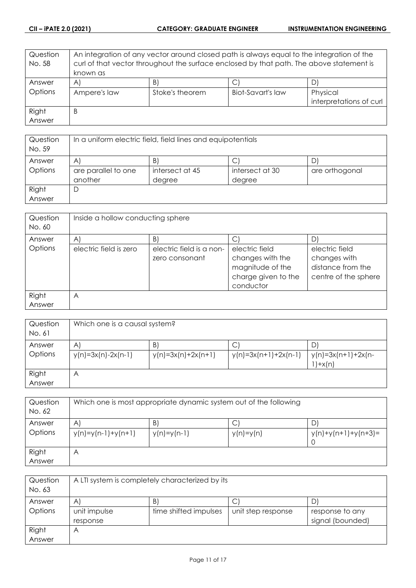| Question | An integration of any vector around closed path is always equal to the integration of the |                 |                          |                         |
|----------|-------------------------------------------------------------------------------------------|-----------------|--------------------------|-------------------------|
| No. 58   | curl of that vector throughout the surface enclosed by that path. The above statement is  |                 |                          |                         |
|          | known as                                                                                  |                 |                          |                         |
| Answer   | $\mathsf{A}$                                                                              | B)              |                          |                         |
| Options  | Ampere's law                                                                              | Stoke's theorem | <b>Biot-Savart's law</b> | Physical                |
|          |                                                                                           |                 |                          | interpretations of curl |
| Right    | B                                                                                         |                 |                          |                         |
| Answer   |                                                                                           |                 |                          |                         |

| Question<br>No. 59 | In a uniform electric field, field lines and equipotentials |                 |                 |                |
|--------------------|-------------------------------------------------------------|-----------------|-----------------|----------------|
| Answer             | B<br>Α                                                      |                 |                 |                |
| Options            | are parallel to one                                         | intersect at 45 | intersect at 30 | are orthogonal |
|                    | another                                                     | degree          | degree          |                |
| Right              |                                                             |                 |                 |                |
| Answer             |                                                             |                 |                 |                |

| Question<br>No. 60 | Inside a hollow conducting sphere |                                            |                                                                                            |                                                                             |
|--------------------|-----------------------------------|--------------------------------------------|--------------------------------------------------------------------------------------------|-----------------------------------------------------------------------------|
| Answer             | $\forall$                         | B)                                         |                                                                                            |                                                                             |
| Options            | electric field is zero            | electric field is a non-<br>zero consonant | electric field<br>changes with the<br>magnitude of the<br>charge given to the<br>conductor | electric field<br>changes with<br>distance from the<br>centre of the sphere |
| Right<br>Answer    | A                                 |                                            |                                                                                            |                                                                             |

| Question<br>No. 61 | Which one is a causal system?        |                            |                        |                                       |
|--------------------|--------------------------------------|----------------------------|------------------------|---------------------------------------|
| Answer<br>Options  | $\mathsf{A}$<br>$y(n)=3x(n)-2x(n-1)$ | B)<br>$y(n)=3x(n)+2x(n+1)$ | $y(n)=3x(n+1)+2x(n-1)$ | D<br>y(n)=3x(n+1)+2x(n-<br>$'$ )+x(n) |
| Right<br>Answer    | Α                                    |                            |                        |                                       |

| Question<br>No. 62 | Which one is most appropriate dynamic system out of the following |                    |             |                            |
|--------------------|-------------------------------------------------------------------|--------------------|-------------|----------------------------|
| Answer<br>Options  | A<br>$y(n)=y(n-1)+y(n+1)$                                         | B<br>$y(n)=y(n-1)$ | $y(n)=y(n)$ | D<br>$y(n)+y(n+1)+y(n+3)=$ |
| Right<br>Answer    | Α                                                                 |                    |             |                            |

| Question<br>No. 63 | A LTI system is completely characterized by its |                       |                    |                  |
|--------------------|-------------------------------------------------|-----------------------|--------------------|------------------|
| Answer             | $\forall$                                       | B                     | ◡                  |                  |
| Options            | unit impulse                                    | time shifted impulses | unit step response | response to any  |
|                    | response                                        |                       |                    | signal (bounded) |
| Right              | Α                                               |                       |                    |                  |
| Answer             |                                                 |                       |                    |                  |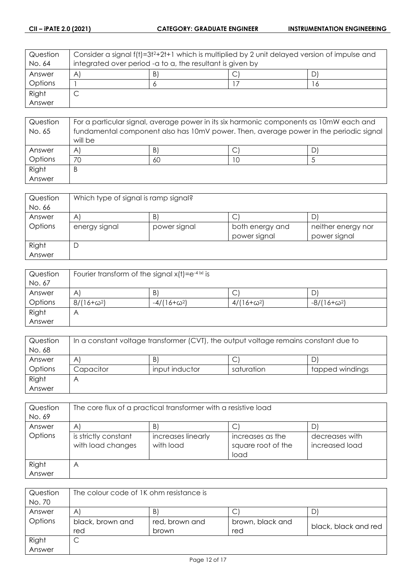| Question | Consider a signal f(t)=3t2+2t+1 which is multiplied by 2 unit delayed version of impulse and |  |  |   |
|----------|----------------------------------------------------------------------------------------------|--|--|---|
| No. 64   | integrated over period -a to a, the resultant is given by                                    |  |  |   |
| Answer   | B<br>$\forall$                                                                               |  |  |   |
| Options  |                                                                                              |  |  | O |
| Right    | ◡                                                                                            |  |  |   |
| Answer   |                                                                                              |  |  |   |

| Question | For a particular signal, average power in its six harmonic components as 10mW each and |    |  |  |
|----------|----------------------------------------------------------------------------------------|----|--|--|
| No. 65   | fundamental component also has 10mV power. Then, average power in the periodic signal  |    |  |  |
|          | will be                                                                                |    |  |  |
| Answer   | $\mathsf{A}^{\prime}$                                                                  | B) |  |  |
| Options  | 70                                                                                     | 60 |  |  |
| Right    | Β                                                                                      |    |  |  |
| Answer   |                                                                                        |    |  |  |

| Question | Which type of signal is ramp signal? |              |                 |                    |
|----------|--------------------------------------|--------------|-----------------|--------------------|
| No. 66   |                                      |              |                 |                    |
| Answer   | A                                    | B            | ٮ               | D                  |
| Options  | energy signal                        | power signal | both energy and | neither energy nor |
|          |                                      |              | power signal    | power signal       |
| Right    | Ľ                                    |              |                 |                    |
| Answer   |                                      |              |                 |                    |

| Question | Fourier transform of the signal $x(t) = e^{-4  x }$ is |                    |                   |                    |
|----------|--------------------------------------------------------|--------------------|-------------------|--------------------|
| No. 67   |                                                        |                    |                   |                    |
| Answer   | A                                                      | B                  | ◡                 |                    |
| Options  | $8/(16+\omega^2)$                                      | $-4/(16+\omega^2)$ | $4/(16+\omega^2)$ | $-8/(16+\omega^2)$ |
| Right    | Α                                                      |                    |                   |                    |
| Answer   |                                                        |                    |                   |                    |

| Question | In a constant voltage transformer (CVT), the output voltage remains constant due to |                |            |                 |
|----------|-------------------------------------------------------------------------------------|----------------|------------|-----------------|
| No. 68   |                                                                                     |                |            |                 |
| Answer   | Α                                                                                   | B              | ◡          |                 |
| Options  | Capacitor                                                                           | input inductor | saturation | tapped windings |
| Right    |                                                                                     |                |            |                 |
| Answer   |                                                                                     |                |            |                 |

| Question | The core flux of a practical transformer with a resistive load |                                 |                                                |                                  |
|----------|----------------------------------------------------------------|---------------------------------|------------------------------------------------|----------------------------------|
| No. 69   |                                                                |                                 |                                                |                                  |
| Answer   | $\mathsf{A}$                                                   | $\vert B \vert$                 |                                                |                                  |
| Options  | is strictly constant<br>with load changes                      | increases linearly<br>with load | increases as the<br>square root of the<br>load | decreases with<br>increased load |
| Right    | Α                                                              |                                 |                                                |                                  |
| Answer   |                                                                |                                 |                                                |                                  |

| Question | The colour code of IK ohm resistance is |                |                  |                      |
|----------|-----------------------------------------|----------------|------------------|----------------------|
| No. 70   |                                         |                |                  |                      |
| Answer   | A                                       | B              |                  |                      |
| Options  | black, brown and                        | red, brown and | brown, black and | black, black and red |
|          | red                                     | brown          | red              |                      |
| Right    | ◡                                       |                |                  |                      |
| Answer   |                                         |                |                  |                      |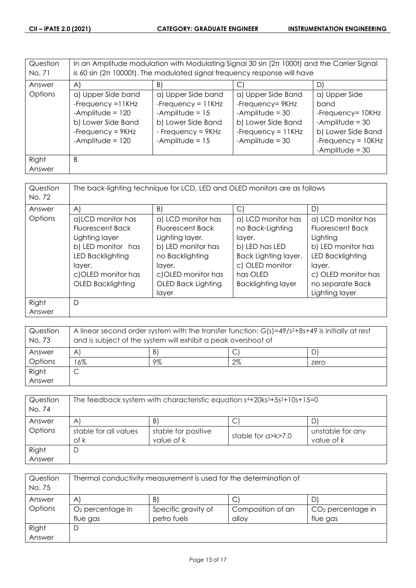| Question<br>No. 71 | In an Amplitude modulation with Modulating Signal 30 sin $(2\pi 1000t)$ and the Carrier Signal<br>is 60 sin $(2\pi 10000t)$ . The modulated signal frequency response will have |                                                                                                                                    |                                                                                                                                |                                                                                                                                    |
|--------------------|---------------------------------------------------------------------------------------------------------------------------------------------------------------------------------|------------------------------------------------------------------------------------------------------------------------------------|--------------------------------------------------------------------------------------------------------------------------------|------------------------------------------------------------------------------------------------------------------------------------|
| Answer             | $\forall$                                                                                                                                                                       | B)                                                                                                                                 | $\vert$ C                                                                                                                      | D)                                                                                                                                 |
| Options            | a) Upper Side band<br>-Frequency $=11$ KHz<br>-Amplitude = $120$<br>b) Lower Side Band<br>-Frequency = $9KHz$<br>-Amplitude = $120$                                             | a) Upper Side band<br>-Frequency = $11KHz$<br>-Amplitude = $15$<br>b) Lower Side Band<br>- Frequency = $9KHz$<br>-Amplitude = $15$ | a) Upper Side Band<br>-Frequency= 9KHz<br>-Amplitude = $30$<br>b) Lower Side Band<br>-Frequency = $11KHz$<br>-Amplitude = $30$ | a) Upper Side<br>band<br>-Frequency= 10KHz<br>-Amplitude = $30$<br>b) Lower Side Band<br>-Frequency = $10KHz$<br>-Amplitude = $30$ |
| Right<br>Answer    | B                                                                                                                                                                               |                                                                                                                                    |                                                                                                                                |                                                                                                                                    |

| Question<br>No. 72 |                          | The back-lighting technique for LCD, LED and OLED monitors are as follows |                           |                         |
|--------------------|--------------------------|---------------------------------------------------------------------------|---------------------------|-------------------------|
| Answer             | A)                       | B)                                                                        | $\vert$ C                 | D)                      |
| Options            | a)LCD monitor has        | a) LCD monitor has                                                        | a) LCD monitor has        | a) LCD monitor has      |
|                    | <b>Fluorescent Back</b>  | <b>Fluorescent Back</b>                                                   | no Back-Lighting          | <b>Fluorescent Back</b> |
|                    | Lighting layer           | Lighting layer.                                                           | layer.                    | Lighting                |
|                    | b) LED monitor has       | b) LED monitor has                                                        | b) LED has LED            | b) LED monitor has      |
|                    | <b>LED Backlighting</b>  | no Backlighting                                                           | Back Lighting layer.      | <b>LED Backlighting</b> |
|                    | layer.                   | layer.                                                                    | c) OLED monitor           | layer.                  |
|                    | c)OLED monitor has       | c)OLED monitor has                                                        | has OLED                  | c) OLED monitor has     |
|                    | <b>OLED Backlighting</b> | OLED Back Lighting                                                        | <b>Backlighting layer</b> | no separate Back        |
|                    |                          | layer                                                                     |                           | Lighting layer          |
| Right              | D                        |                                                                           |                           |                         |
| Answer             |                          |                                                                           |                           |                         |

| Question<br>No. 73 | A linear second order system with the transfer function: $G(s)=49/s^2+8s+49$ is initially at rest<br>and is subject of the system will exhibit a peak overshoot of |    |    |      |  |
|--------------------|--------------------------------------------------------------------------------------------------------------------------------------------------------------------|----|----|------|--|
| Answer             | B)<br>$\mathsf{A}$                                                                                                                                                 |    |    |      |  |
| Options            | 6%                                                                                                                                                                 | 9% | 2% | zero |  |
| Right              |                                                                                                                                                                    |    |    |      |  |
| Answer             |                                                                                                                                                                    |    |    |      |  |

| Question<br>No. 74 | The feedback system with characteristic equation $s4+20ks3+5s2+10s+15=0$ |                                   |                          |                                |
|--------------------|--------------------------------------------------------------------------|-----------------------------------|--------------------------|--------------------------------|
| Answer             | A                                                                        | B                                 |                          | D                              |
| Options            | stable for all values<br>of k                                            | stable for positive<br>value of k | stable for $a > k > 7.0$ | unstable for any<br>value of k |
| Right              | D                                                                        |                                   |                          |                                |
| Answer             |                                                                          |                                   |                          |                                |

| Question<br>No. 75 | Thermal conductivity measurement is used for the determination of |                     |                   |                     |
|--------------------|-------------------------------------------------------------------|---------------------|-------------------|---------------------|
| Answer             | С<br>B)<br>A                                                      |                     |                   |                     |
| Options            | $O2$ percentage in                                                | Specific gravity of | Composition of an | $CO2$ percentage in |
|                    | flue gas                                                          | petro fuels         | alloy             | flue gas            |
| Right              | D                                                                 |                     |                   |                     |
| Answer             |                                                                   |                     |                   |                     |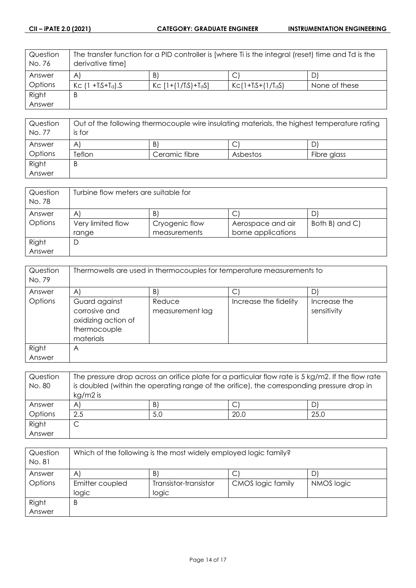| Question | The transfer function for a PID controller is [where Ti is the integral (reset) time and Td is the |                                                |                     |               |  |
|----------|----------------------------------------------------------------------------------------------------|------------------------------------------------|---------------------|---------------|--|
| No. 76   | derivative time]                                                                                   |                                                |                     |               |  |
| Answer   | $\mathsf{B}$<br>C<br>$\mathsf{A}$                                                                  |                                                |                     |               |  |
| Options  | $Kc$ (1 + $T_iS+T_d$ ). S                                                                          | $Kc$ [1+(1/T <sub>i</sub> S)+T <sub>d</sub> S] | $KC(1+TiS+(1/TdS))$ | None of these |  |
| Right    | B                                                                                                  |                                                |                     |               |  |
| Answer   |                                                                                                    |                                                |                     |               |  |

| Question<br>No. 77 | Out of the following thermocouple wire insulating materials, the highest temperature rating |               |          |             |
|--------------------|---------------------------------------------------------------------------------------------|---------------|----------|-------------|
|                    | is for                                                                                      |               |          |             |
| Answer             | A                                                                                           | B)            | ◡        | D           |
| Options            | Teflon                                                                                      | Ceramic fibre | Asbestos | Fibre glass |
| Right              | B                                                                                           |               |          |             |
| Answer             |                                                                                             |               |          |             |

| Question | Turbine flow meters are suitable for |                |                    |                |  |
|----------|--------------------------------------|----------------|--------------------|----------------|--|
| No. 78   |                                      |                |                    |                |  |
| Answer   | B<br>A<br>D                          |                |                    |                |  |
| Options  | Very limited flow                    | Cryogenic flow | Aerospace and air  | Both B) and C) |  |
|          | range                                | measurements   | borne applications |                |  |
| Right    | D                                    |                |                    |                |  |
| Answer   |                                      |                |                    |                |  |

| Thermowells are used in thermocouples for temperature measurements to              |                           |                       |                             |
|------------------------------------------------------------------------------------|---------------------------|-----------------------|-----------------------------|
| A                                                                                  | $\vert B \vert$           | C                     | DI                          |
| Guard against<br>corrosive and<br>oxidizing action of<br>thermocouple<br>materials | Reduce<br>measurement lag | Increase the fidelity | Increase the<br>sensitivity |
| Α                                                                                  |                           |                       |                             |
|                                                                                    |                           |                       |                             |

| Question | The pressure drop across an orifice plate for a particular flow rate is 5 kg/m2. If the flow rate |     |      |      |
|----------|---------------------------------------------------------------------------------------------------|-----|------|------|
| No. 80   | is doubled (within the operating range of the orifice), the corresponding pressure drop in        |     |      |      |
|          | $kg/m2$ is                                                                                        |     |      |      |
| Answer   | A                                                                                                 | B)  |      | D'   |
| Options  | 2.5                                                                                               | 5.0 | 20.0 | 25.0 |
| Right    |                                                                                                   |     |      |      |
| Answer   |                                                                                                   |     |      |      |

| Question | Which of the following is the most widely employed logic family? |                       |                   |            |
|----------|------------------------------------------------------------------|-----------------------|-------------------|------------|
| No. 81   |                                                                  |                       |                   |            |
| Answer   | B,<br>A                                                          |                       |                   |            |
| Options  | Emitter coupled                                                  | Transistor-transistor | CMOS logic family | NMOS logic |
|          | logic                                                            | logic                 |                   |            |
| Right    | Β                                                                |                       |                   |            |
| Answer   |                                                                  |                       |                   |            |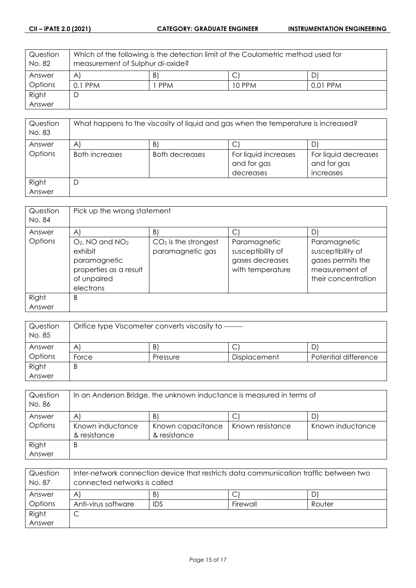| Question | Which of the following is the detection limit of the Coulometric method used for |            |        |          |  |
|----------|----------------------------------------------------------------------------------|------------|--------|----------|--|
| No. 82   | measurement of Sulphur di-oxide?                                                 |            |        |          |  |
| Answer   | $\vert B \vert$<br>$\mathsf{A}$<br>D)                                            |            |        |          |  |
| Options  | $0.1$ PPM                                                                        | <b>PPM</b> | 10 PPM | 0.01 PPM |  |
| Right    | D                                                                                |            |        |          |  |
| Answer   |                                                                                  |            |        |          |  |

| Question<br>No. 83 | What happens to the viscosity of liquid and gas when the temperature is increased? |                       |                                                  |                                                  |
|--------------------|------------------------------------------------------------------------------------|-----------------------|--------------------------------------------------|--------------------------------------------------|
| Answer             | A                                                                                  | B)                    | ٮ                                                |                                                  |
| Options            | Both increases                                                                     | <b>Both decreases</b> | For liquid increases<br>and for gas<br>decreases | For liquid decreases<br>and for gas<br>increases |
| Right<br>Answer    | D                                                                                  |                       |                                                  |                                                  |

| Question<br>No. 84 | Pick up the wrong statement                                                                                     |                                            |                                                                          |                                                                                                 |
|--------------------|-----------------------------------------------------------------------------------------------------------------|--------------------------------------------|--------------------------------------------------------------------------|-------------------------------------------------------------------------------------------------|
| Answer             | $\mathsf{A}$                                                                                                    | B)                                         | C)                                                                       | D                                                                                               |
| Options            | $O_2$ , NO and NO <sub>2</sub><br>exhibit<br>paramagnetic<br>properties as a result<br>of unpaired<br>electrons | $CO2$ is the strongest<br>paramagnetic gas | Paramagnetic<br>susceptibility of<br>gases decreases<br>with temperature | Paramagnetic<br>susceptibility of<br>gases permits the<br>measurement of<br>their concentration |
| Right<br>Answer    | B                                                                                                               |                                            |                                                                          |                                                                                                 |

| Question<br>No. 85 | Orifice type Viscometer converts viscosity to ------- |          |              |                      |
|--------------------|-------------------------------------------------------|----------|--------------|----------------------|
| Answer             | A                                                     | B'       | ◡            | D                    |
| Options            | Force                                                 | Pressure | Displacement | Potential difference |
| Right              | B                                                     |          |              |                      |
| Answer             |                                                       |          |              |                      |

| Question<br>No. 86 | In an Anderson Bridge, the unknown inductance is measured in terms of |                   |                  |                  |
|--------------------|-----------------------------------------------------------------------|-------------------|------------------|------------------|
| Answer             | $\mathsf{A}^{\prime}$                                                 | B                 |                  |                  |
| Options            | Known inductance                                                      | Known capacitance | Known resistance | Known inductance |
|                    | & resistance                                                          | & resistance      |                  |                  |
| Right              | B                                                                     |                   |                  |                  |
| Answer             |                                                                       |                   |                  |                  |

| Question<br>No. 87 | Inter-network connection device that restricts data communication traffic between two<br>connected networks is called |            |          |        |
|--------------------|-----------------------------------------------------------------------------------------------------------------------|------------|----------|--------|
| Answer             | A                                                                                                                     | B)         |          |        |
| Options            | Anti-virus software                                                                                                   | <b>IDS</b> | Firewall | Router |
| Right              |                                                                                                                       |            |          |        |
| Answer             |                                                                                                                       |            |          |        |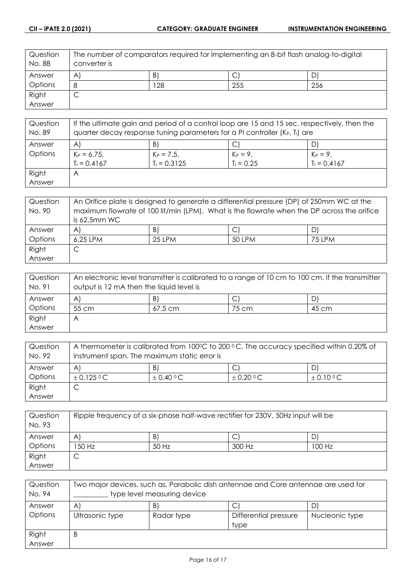| Question<br>No. 88 | The number of comparators required for implementing an 8-bit flash analog-to-digital<br>converter is |     |     |     |
|--------------------|------------------------------------------------------------------------------------------------------|-----|-----|-----|
| Answer             | A                                                                                                    | Β   | J   |     |
| Options            | 8                                                                                                    | 128 | 255 | 256 |
| Right              | $\overline{\phantom{0}}$<br>ٮ                                                                        |     |     |     |
| Answer             |                                                                                                      |     |     |     |

| Question<br>No. 89 | If the ultimate gain and period of a control loop are 15 and 15 sec. respectively, then the<br>quarter decay response tuning parameters for a PI controller (K <sub>P</sub> , T <sub>I</sub> ) are |                |              |                |
|--------------------|----------------------------------------------------------------------------------------------------------------------------------------------------------------------------------------------------|----------------|--------------|----------------|
| Answer             | $\mathsf{A}$                                                                                                                                                                                       | B)             | С            | D              |
| Options            | $K_P = 6.75$ ,                                                                                                                                                                                     | $K_P = 7.5$ ,  | $K_P = 9,$   | $K_{P} = 9,$   |
|                    | $T_1 = 0.4167$                                                                                                                                                                                     | $T_1 = 0.3125$ | $T_1 = 0.25$ | $T_1 = 0.4167$ |
| Right              | $\forall$                                                                                                                                                                                          |                |              |                |
| Answer             |                                                                                                                                                                                                    |                |              |                |

| Question<br>No. 90 | An Orifice plate is designed to generate a differential pressure (DP) of 250mm WC at the<br>maximum flowrate of 100 lit/min (LPM). What is the flowrate when the DP across the orifice |          |        |        |
|--------------------|----------------------------------------------------------------------------------------------------------------------------------------------------------------------------------------|----------|--------|--------|
|                    | is $62.5$ mm WC                                                                                                                                                                        |          |        |        |
| Answer             | $\mathsf{A}^{\mathsf{c}}$                                                                                                                                                              | B)       |        | D      |
| Options            | 6.25 LPM                                                                                                                                                                               | $25$ IPM | 50 LPM | 75 LPM |
| Right              |                                                                                                                                                                                        |          |        |        |
| Answer             |                                                                                                                                                                                        |          |        |        |

| Question<br>No. 91 | An electronic level transmitter is calibrated to a range of 10 cm to 100 cm. If the transmitter<br>output is 12 mA then the liquid level is |           |       |       |
|--------------------|---------------------------------------------------------------------------------------------------------------------------------------------|-----------|-------|-------|
| Answer             | A                                                                                                                                           | B)        |       |       |
| Options            | 55 cm                                                                                                                                       | $67.5$ cm | 75 cm | 45 cm |
| Right              | А                                                                                                                                           |           |       |       |
| Answer             |                                                                                                                                             |           |       |       |

| Question<br>No. 92 | A thermometer is calibrated from 100°C to 200 °C. The accuracy specified within 0.20% of<br>instrument span. The maximum static error is |               |               |               |
|--------------------|------------------------------------------------------------------------------------------------------------------------------------------|---------------|---------------|---------------|
| Answer             | B.<br>A                                                                                                                                  |               |               |               |
| Options            | $\pm$ 0.125 °C                                                                                                                           | $\pm$ 0.40 °C | $\pm$ 0.20 °C | $\pm$ 0.10 °C |
| Right              |                                                                                                                                          |               |               |               |
| Answer             |                                                                                                                                          |               |               |               |

| Question<br>No. 93 | Ripple frequency of a six-phase half-wave rectifier for 230V, 50Hz input will be |       |        |        |
|--------------------|----------------------------------------------------------------------------------|-------|--------|--------|
| Answer             | B)<br>D<br>A<br>◡                                                                |       |        |        |
| Options            | 50 Hz                                                                            | 50 Hz | 300 Hz | 100 Hz |
| Right              | ◡                                                                                |       |        |        |
| Answer             |                                                                                  |       |        |        |

| Question<br>No. 94 | Two major devices, such as, Parabolic dish antennae and Core antennae are used for<br>type level measuring device |            |                       |                |
|--------------------|-------------------------------------------------------------------------------------------------------------------|------------|-----------------------|----------------|
| Answer             | B)<br>A                                                                                                           |            |                       |                |
| Options            | Ultrasonic type                                                                                                   | Radar type | Differential pressure | Nucleonic type |
|                    |                                                                                                                   |            | type                  |                |
| Right              | Β                                                                                                                 |            |                       |                |
| Answer             |                                                                                                                   |            |                       |                |